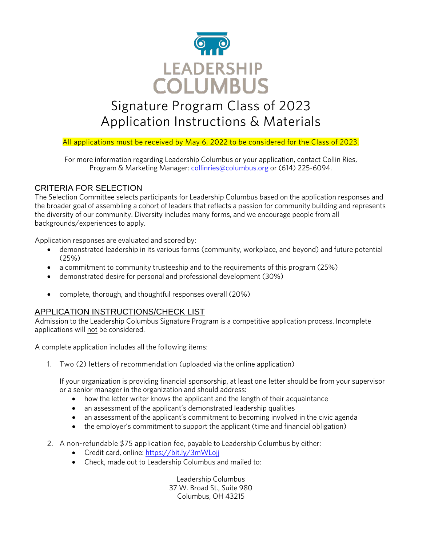

# Signature Program Class of 2023 Application Instructions & Materials

# All applications must be received by May 6, 2022 to be considered for the Class of 2023.

For more information regarding Leadership Columbus or your application, contact Collin Ries, Program & Marketing Manager: [collinries@columbus.org](mailto:collinries@columbus.org) or (614) 225-6094.

# CRITERIA FOR SELECTION

The Selection Committee selects participants for Leadership Columbus based on the application responses and the broader goal of assembling a cohort of leaders that reflects a passion for community building and represents the diversity of our community. Diversity includes many forms, and we encourage people from all backgrounds/experiences to apply.

Application responses are evaluated and scored by:

- demonstrated leadership in its various forms (community, workplace, and beyond) and future potential (25%)
- a commitment to community trusteeship and to the requirements of this program (25%)
- demonstrated desire for personal and professional development (30%)
- complete, thorough, and thoughtful responses overall (20%)

# APPLICATION INSTRUCTIONS/CHECK LIST

Admission to the Leadership Columbus Signature Program is a competitive application process. Incomplete applications will not be considered.

A complete application includes all the following items:

1. Two (2) letters of recommendation (uploaded via the online application)

If your organization is providing financial sponsorship, at least one letter should be from your supervisor or a senior manager in the organization and should address:

- how the letter writer knows the applicant and the length of their acquaintance
- an assessment of the applicant's demonstrated leadership qualities
- an assessment of the applicant's commitment to becoming involved in the civic agenda
- the employer's commitment to support the applicant (time and financial obligation)
- 2. A non-refundable \$75 application fee, payable to Leadership Columbus by either:
	- Credit card, online:<https://bit.ly/3mWLojj>
	- Check, made out to Leadership Columbus and mailed to:

Leadership Columbus 37 W. Broad St., Suite 980 Columbus, OH 43215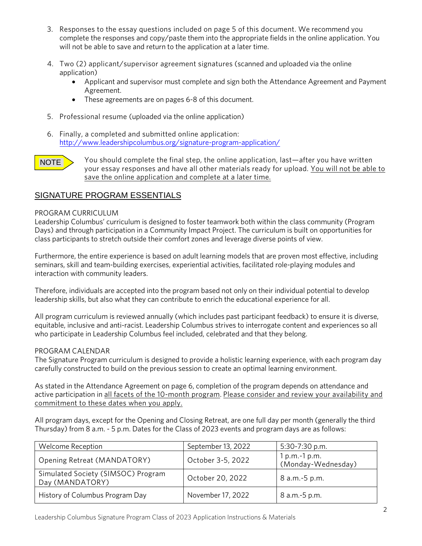- 3. Responses to the essay questions included on page 5 of this document. We recommend you complete the responses and copy/paste them into the appropriate fields in the online application. You will not be able to save and return to the application at a later time.
- 4. Two (2) applicant/supervisor agreement signatures (scanned and uploaded via the online application)
	- Applicant and supervisor must complete and sign both the Attendance Agreement and Payment Agreement.
	- These agreements are on pages 6-8 of this document.
- 5. Professional resume (uploaded via the online application)
- 6. Finally, a completed and submitted online application: <http://www.leadershipcolumbus.org/signature-program-application/>



You should complete the final step, the online application, last—after you have written your essay responses and have all other materials ready for upload. You will not be able to save the online application and complete at a later time.

# SIGNATURE PROGRAM ESSENTIALS

#### PROGRAM CURRICULUM

Leadership Columbus' curriculum is designed to foster teamwork both within the class community (Program Days) and through participation in a Community Impact Project. The curriculum is built on opportunities for class participants to stretch outside their comfort zones and leverage diverse points of view.

Furthermore, the entire experience is based on adult learning models that are proven most effective, including seminars, skill and team-building exercises, experiential activities, facilitated role-playing modules and interaction with community leaders.

Therefore, individuals are accepted into the program based not only on their individual potential to develop leadership skills, but also what they can contribute to enrich the educational experience for all.

All program curriculum is reviewed annually (which includes past participant feedback) to ensure it is diverse, equitable, inclusive and anti-racist. Leadership Columbus strives to interrogate content and experiences so all who participate in Leadership Columbus feel included, celebrated and that they belong.

#### PROGRAM CALENDAR

The Signature Program curriculum is designed to provide a holistic learning experience, with each program day carefully constructed to build on the previous session to create an optimal learning environment.

As stated in the Attendance Agreement on page 6, completion of the program depends on attendance and active participation in all facets of the 10-month program. Please consider and review your availability and commitment to these dates when you apply.

All program days, except for the Opening and Closing Retreat, are one full day per month (generally the third Thursday) from 8 a.m. - 5 p.m. Dates for the Class of 2023 events and program days are as follows:

| <b>Welcome Reception</b>                              | September 13, 2022 | 5:30-7:30 p.m.                        |
|-------------------------------------------------------|--------------------|---------------------------------------|
| Opening Retreat (MANDATORY)                           | October 3-5, 2022  | $1 p.m.-1 p.m.$<br>(Monday-Wednesday) |
| Simulated Society (SIMSOC) Program<br>Day (MANDATORY) | October 20, 2022   | 8 a.m.-5 p.m.                         |
| History of Columbus Program Day                       | November 17, 2022  | 8 a.m.-5 p.m.                         |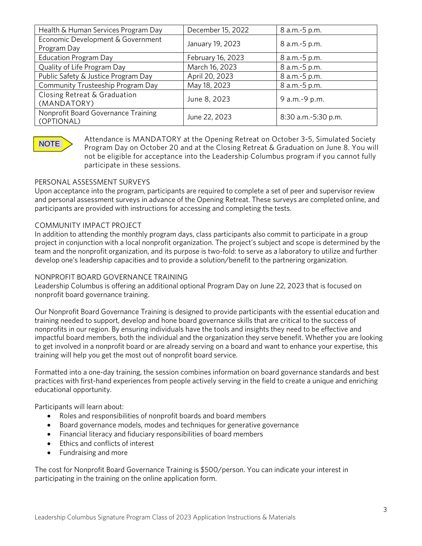| Health & Human Services Program Day               | December 15, 2022 | 8 a.m.-5 p.m.       |
|---------------------------------------------------|-------------------|---------------------|
| Economic Development & Government<br>Program Day  | January 19, 2023  | 8 a.m.-5 p.m.       |
| <b>Education Program Day</b>                      | February 16, 2023 | 8 a.m.-5 p.m.       |
| Quality of Life Program Day                       | March 16, 2023    | 8 a.m.-5 p.m.       |
| Public Safety & Justice Program Day               | April 20, 2023    | 8 a.m.-5 p.m.       |
| Community Trusteeship Program Day                 | May 18, 2023      | 8 a.m.-5 p.m.       |
| Closing Retreat & Graduation<br>(MANDATORY)       | June 8, 2023      | 9 a.m.-9 p.m.       |
| Nonprofit Board Governance Training<br>(OPTIONAL) | June 22, 2023     | 8:30 a.m.-5:30 p.m. |

# NOTE

Attendance is MANDATORY at the Opening Retreat on October 3-5, Simulated Society Program Day on October 20 and at the Closing Retreat & Graduation on June 8. You will not be eligible for acceptance into the Leadership Columbus program if you cannot fully participate in these sessions.

## PERSONAL ASSESSMENT SURVEYS

Upon acceptance into the program, participants are required to complete a set of peer and supervisor review and personal assessment surveys in advance of the Opening Retreat. These surveys are completed online, and participants are provided with instructions for accessing and completing the tests.

## COMMUNITY IMPACT PROJECT

In addition to attending the monthly program days, class participants also commit to participate in a group project in conjunction with a local nonprofit organization. The project's subject and scope is determined by the team and the nonprofit organization, and its purpose is two-fold: to serve as a laboratory to utilize and further develop one's leadership capacities and to provide a solution/benefit to the partnering organization.

#### NONPROFIT BOARD GOVERNANCE TRAINING

Leadership Columbus is offering an additional optional Program Day on June 22, 2023 that is focused on nonprofit board governance training.

Our Nonprofit Board Governance Training is designed to provide participants with the essential education and training needed to support, develop and hone board governance skills that are critical to the success of nonprofits in our region. By ensuring individuals have the tools and insights they need to be effective and impactful board members, both the individual and the organization they serve benefit. Whether you are looking to get involved in a nonprofit board or are already serving on a board and want to enhance your expertise, this training will help you get the most out of nonprofit board service.

Formatted into a one-day training, the session combines information on board governance standards and best practices with first-hand experiences from people actively serving in the field to create a unique and enriching educational opportunity.

Participants will learn about:

- Roles and responsibilities of nonprofit boards and board members
- Board governance models, modes and techniques for generative governance
- Financial literacy and fiduciary responsibilities of board members
- Ethics and conflicts of interest
- Fundraising and more

The cost for Nonprofit Board Governance Training is \$500/person. You can indicate your interest in participating in the training on the online application form.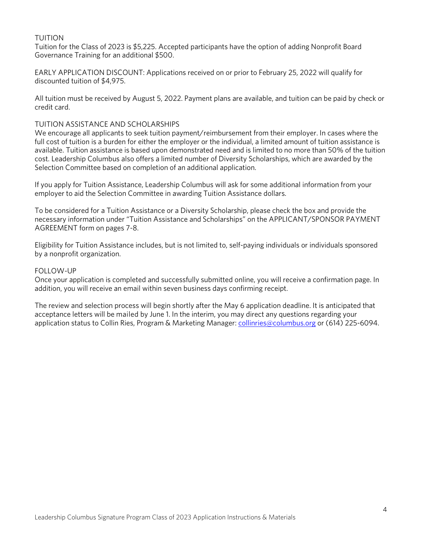## TUITION

Tuition for the Class of 2023 is \$5,225. Accepted participants have the option of adding Nonprofit Board Governance Training for an additional \$500.

EARLY APPLICATION DISCOUNT: Applications received on or prior to February 25, 2022 will qualify for discounted tuition of \$4,975.

All tuition must be received by August 5, 2022. Payment plans are available, and tuition can be paid by check or credit card.

#### TUITION ASSISTANCE AND SCHOLARSHIPS

We encourage all applicants to seek tuition payment/reimbursement from their employer. In cases where the full cost of tuition is a burden for either the employer or the individual, a limited amount of tuition assistance is available. Tuition assistance is based upon demonstrated need and is limited to no more than 50% of the tuition cost. Leadership Columbus also offers a limited number of Diversity Scholarships, which are awarded by the Selection Committee based on completion of an additional application.

If you apply for Tuition Assistance, Leadership Columbus will ask for some additional information from your employer to aid the Selection Committee in awarding Tuition Assistance dollars.

To be considered for a Tuition Assistance or a Diversity Scholarship, please check the box and provide the necessary information under "Tuition Assistance and Scholarships" on the APPLICANT/SPONSOR PAYMENT AGREEMENT form on pages 7-8.

Eligibility for Tuition Assistance includes, but is not limited to, self-paying individuals or individuals sponsored by a nonprofit organization.

#### FOLLOW-UP

Once your application is completed and successfully submitted online, you will receive a confirmation page. In addition, you will receive an email within seven business days confirming receipt.

The review and selection process will begin shortly after the May 6 application deadline. It is anticipated that acceptance letters will be mailed by June 1. In the interim, you may direct any questions regarding your application status to Collin Ries, Program & Marketing Manager: [collinries@columbus.org](mailto:collinries@columbus.org) or (614) 225-6094.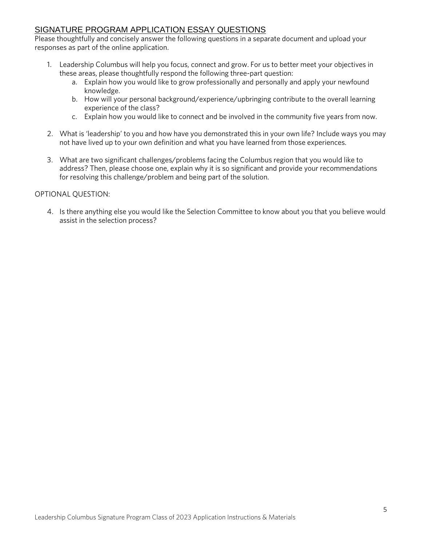# SIGNATURE PROGRAM APPLICATION ESSAY QUESTIONS

Please thoughtfully and concisely answer the following questions in a separate document and upload your responses as part of the online application.

- 1. Leadership Columbus will help you focus, connect and grow. For us to better meet your objectives in these areas, please thoughtfully respond the following three-part question:
	- a. Explain how you would like to grow professionally and personally and apply your newfound knowledge.
	- b. How will your personal background/experience/upbringing contribute to the overall learning experience of the class?
	- c. Explain how you would like to connect and be involved in the community five years from now.
- 2. What is 'leadership' to you and how have you demonstrated this in your own life? Include ways you may not have lived up to your own definition and what you have learned from those experiences.
- 3. What are two significant challenges/problems facing the Columbus region that you would like to address? Then, please choose one, explain why it is so significant and provide your recommendations for resolving this challenge/problem and being part of the solution.

#### OPTIONAL QUESTION:

4. Is there anything else you would like the Selection Committee to know about you that you believe would assist in the selection process?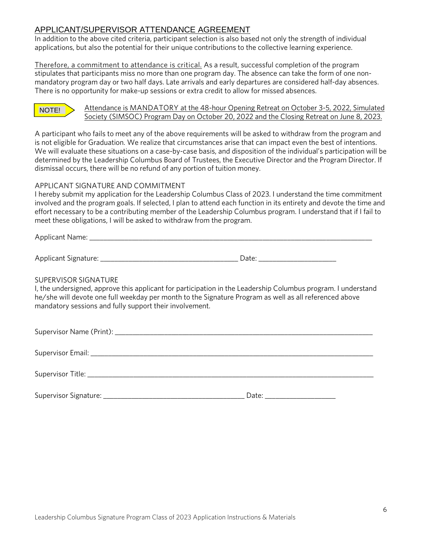# APPLICANT/SUPERVISOR ATTENDANCE AGREEMENT

In addition to the above cited criteria, participant selection is also based not only the strength of individual applications, but also the potential for their unique contributions to the collective learning experience.

Therefore, a commitment to attendance is critical. As a result, successful completion of the program stipulates that participants miss no more than one program day. The absence can take the form of one nonmandatory program day or two half days. Late arrivals and early departures are considered half-day absences. There is no opportunity for make-up sessions or extra credit to allow for missed absences.

# NOTE!

#### Attendance is MANDATORY at the 48-hour Opening Retreat on October 3-5, 2022, Simulated Society (SIMSOC) Program Day on October 20, 2022 and the Closing Retreat on June 8, 2023.

A participant who fails to meet any of the above requirements will be asked to withdraw from the program and is not eligible for Graduation. We realize that circumstances arise that can impact even the best of intentions. We will evaluate these situations on a case-by-case basis, and disposition of the individual's participation will be determined by the Leadership Columbus Board of Trustees, the Executive Director and the Program Director. If dismissal occurs, there will be no refund of any portion of tuition money.

## APPLICANT SIGNATURE AND COMMITMENT

I hereby submit my application for the Leadership Columbus Class of 2023. I understand the time commitment involved and the program goals. If selected, I plan to attend each function in its entirety and devote the time and effort necessary to be a contributing member of the Leadership Columbus program. I understand that if I fail to meet these obligations, I will be asked to withdraw from the program.

Applicant Name: \_\_\_\_\_\_\_\_\_\_\_\_\_\_\_\_\_\_\_\_\_\_\_\_\_\_\_\_\_\_\_\_\_\_\_\_\_\_\_\_\_\_\_\_\_\_\_\_\_\_\_\_\_\_\_\_\_\_\_\_\_\_\_\_\_\_\_\_\_\_\_\_\_\_\_\_\_\_\_\_

Applicant Signature: \_\_\_\_\_\_\_\_\_\_\_\_\_\_\_\_\_\_\_\_\_\_\_\_\_\_\_\_\_\_\_\_\_\_\_\_\_\_\_ Date: \_\_\_\_\_\_\_\_\_\_\_\_\_\_\_\_\_\_\_\_\_\_

#### SUPERVISOR SIGNATURE

I, the undersigned, approve this applicant for participation in the Leadership Columbus program. I understand he/she will devote one full weekday per month to the Signature Program as well as all referenced above mandatory sessions and fully support their involvement.

| Supervisor Signature: | Date: |
|-----------------------|-------|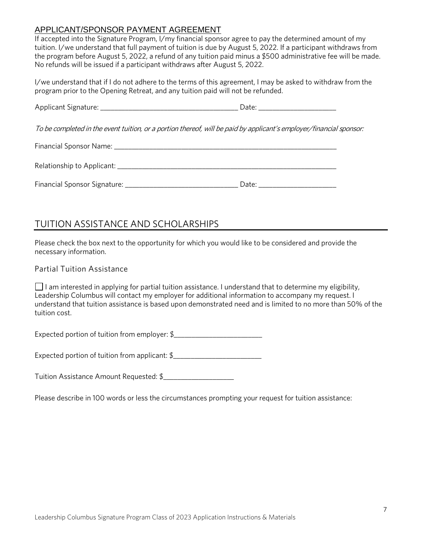# APPLICANT/SPONSOR PAYMENT AGREEMENT

If accepted into the Signature Program, I/my financial sponsor agree to pay the determined amount of my tuition. I/we understand that full payment of tuition is due by August 5, 2022. If a participant withdraws from the program before August 5, 2022, a refund of any tuition paid minus a \$500 administrative fee will be made. No refunds will be issued if a participant withdraws after August 5, 2022.

I/we understand that if I do not adhere to the terms of this agreement, I may be asked to withdraw from the program prior to the Opening Retreat, and any tuition paid will not be refunded.

|                                                                                                                     | Date: __________________________ |
|---------------------------------------------------------------------------------------------------------------------|----------------------------------|
| To be completed in the event tuition, or a portion thereof, will be paid by applicant's employer/financial sponsor: |                                  |
|                                                                                                                     |                                  |
|                                                                                                                     |                                  |
|                                                                                                                     | Date: __________________________ |

# TUITION ASSISTANCE AND SCHOLARSHIPS

Please check the box next to the opportunity for which you would like to be considered and provide the necessary information.

# Partial Tuition Assistance

 $\Box$  I am interested in applying for partial tuition assistance. I understand that to determine my eligibility, Leadership Columbus will contact my employer for additional information to accompany my request. I understand that tuition assistance is based upon demonstrated need and is limited to no more than 50% of the tuition cost.

Expected portion of tuition from employer: \$\_\_\_\_\_\_\_\_\_\_\_\_\_\_\_\_\_\_\_\_\_\_\_\_\_

Expected portion of tuition from applicant: \$\_\_\_\_\_\_\_\_\_\_\_\_\_\_\_\_\_\_\_\_\_\_\_\_\_\_\_\_\_\_\_\_\_\_\_

Tuition Assistance Amount Requested: \$\_\_\_\_\_\_\_\_\_\_\_\_\_\_\_\_\_\_\_\_

Please describe in 100 words or less the circumstances prompting your request for tuition assistance: